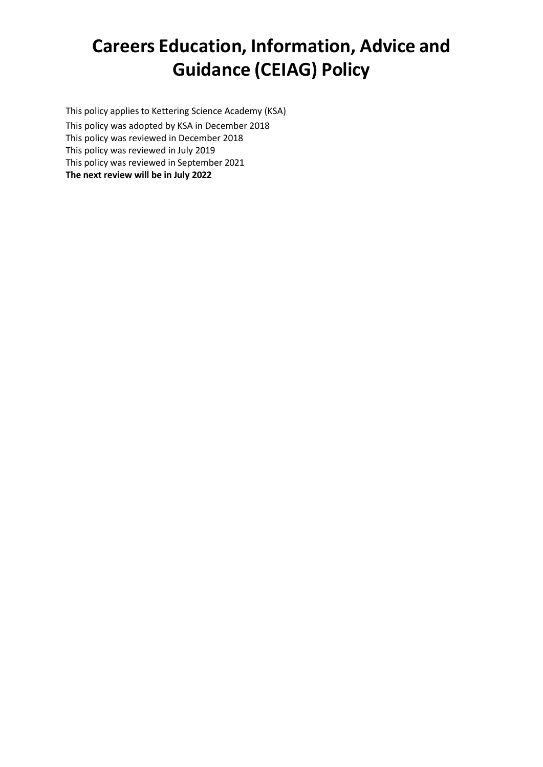This policy applies to Kettering Science Academy (KSA)

This policy was adopted by KSA in December 2018 This policy was reviewed in December 2018

This policy was reviewed in July 2019

This policy was reviewed in September 2021 **The next review will be in July 2022**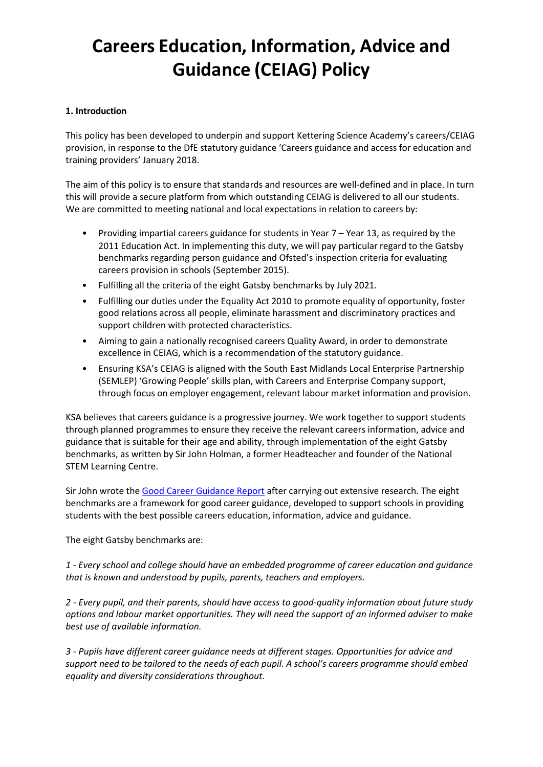### **1. Introduction**

This policy has been developed to underpin and support Kettering Science Academy's careers/CEIAG provision, in response to the DfE statutory guidance 'Careers guidance and access for education and training providers' January 2018.

The aim of this policy is to ensure that standards and resources are well-defined and in place. In turn this will provide a secure platform from which outstanding CEIAG is delivered to all our students. We are committed to meeting national and local expectations in relation to careers by:

- Providing impartial careers guidance for students in Year 7 Year 13, as required by the 2011 Education Act. In implementing this duty, we will pay particular regard to the Gatsby benchmarks regarding person guidance and Ofsted's inspection criteria for evaluating careers provision in schools (September 2015).
- Fulfilling all the criteria of the eight Gatsby benchmarks by July 2021.
- Fulfilling our duties under the Equality Act 2010 to promote equality of opportunity, foster good relations across all people, eliminate harassment and discriminatory practices and support children with protected characteristics.
- Aiming to gain a nationally recognised careers Quality Award, in order to demonstrate excellence in CEIAG, which is a recommendation of the statutory guidance.
- Ensuring KSA's CEIAG is aligned with the South East Midlands Local Enterprise Partnership (SEMLEP) 'Growing People' skills plan, with Careers and Enterprise Company support, through focus on employer engagement, relevant labour market information and provision.

KSA believes that careers guidance is a progressive journey. We work together to support students through planned programmes to ensure they receive the relevant careers information, advice and guidance that is suitable for their age and ability, through implementation of the eight Gatsby benchmarks, as written by Sir John Holman, a former Headteacher and founder of the National STEM Learning Centre.

Sir John wrote the [Good Career Guidance Report](http://www.goodcareerguidance.org.uk/assets/file?filePath=__/the-benchmarks/gatsby-sir-john-holman-good-career-guidance-2014.pdf) after carrying out extensive research. The eight benchmarks are a framework for good career guidance, developed to support schools in providing students with the best possible careers education, information, advice and guidance.

The eight Gatsby benchmarks are:

*1 - Every school and college should have an embedded programme of career education and guidance that is known and understood by pupils, parents, teachers and employers.*

*2 - Every pupil, and their parents, should have access to good-quality information about future study options and labour market opportunities. They will need the support of an informed adviser to make best use of available information.*

*3 - Pupils have different career guidance needs at different stages. Opportunities for advice and support need to be tailored to the needs of each pupil. A school's careers programme should embed equality and diversity considerations throughout.*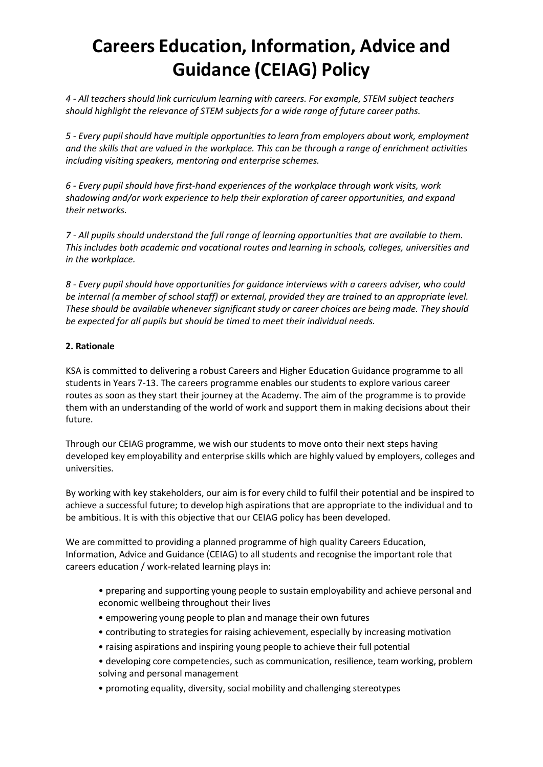*4 - All teachers should link curriculum learning with careers. For example, STEM subject teachers should highlight the relevance of STEM subjects for a wide range of future career paths.*

*5 - Every pupilshould have multiple opportunities to learn from employers about work, employment and the skills that are valued in the workplace. This can be through a range of enrichment activities including visiting speakers, mentoring and enterprise schemes.*

*6 - Every pupil should have first-hand experiences of the workplace through work visits, work shadowing and/or work experience to help their exploration of career opportunities, and expand their networks.*

*7 - All pupils should understand the full range of learning opportunities that are available to them. This includes both academic and vocational routes and learning in schools, colleges, universities and in the workplace.*

*8 - Every pupil should have opportunities for guidance interviews with a careers adviser, who could be internal (a member of school staff) or external, provided they are trained to an appropriate level. These should be available whenever significant study or career choices are being made. They should be expected for all pupils but should be timed to meet their individual needs.*

## **2. Rationale**

KSA is committed to delivering a robust Careers and Higher Education Guidance programme to all students in Years 7-13. The careers programme enables our students to explore various career routes as soon as they start their journey at the Academy. The aim of the programme is to provide them with an understanding of the world of work and support them in making decisions about their future.

Through our CEIAG programme, we wish our students to move onto their next steps having developed key employability and enterprise skills which are highly valued by employers, colleges and universities.

By working with key stakeholders, our aim is for every child to fulfil their potential and be inspired to achieve a successful future; to develop high aspirations that are appropriate to the individual and to be ambitious. It is with this objective that our CEIAG policy has been developed.

We are committed to providing a planned programme of high quality Careers Education, Information, Advice and Guidance (CEIAG) to all students and recognise the important role that careers education / work-related learning plays in:

- preparing and supporting young people to sustain employability and achieve personal and economic wellbeing throughout their lives
- empowering young people to plan and manage their own futures
- contributing to strategies for raising achievement, especially by increasing motivation
- raising aspirations and inspiring young people to achieve their full potential
- developing core competencies, such as communication, resilience, team working, problem solving and personal management
- promoting equality, diversity, social mobility and challenging stereotypes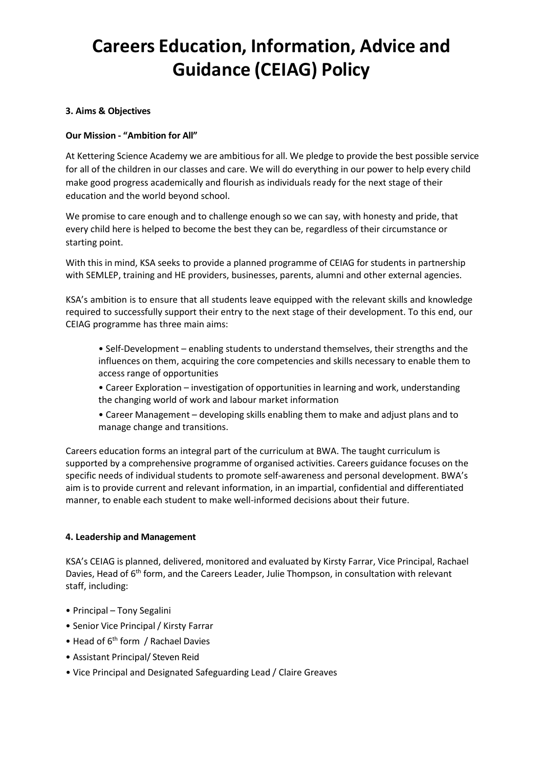## **3. Aims & Objectives**

## **Our Mission - "Ambition for All"**

At Kettering Science Academy we are ambitious for all. We pledge to provide the best possible service for all of the children in our classes and care. We will do everything in our power to help every child make good progress academically and flourish as individuals ready for the next stage of their education and the world beyond school.

We promise to care enough and to challenge enough so we can say, with honesty and pride, that every child here is helped to become the best they can be, regardless of their circumstance or starting point.

With this in mind, KSA seeks to provide a planned programme of CEIAG for students in partnership with SEMLEP, training and HE providers, businesses, parents, alumni and other external agencies.

KSA's ambition is to ensure that all students leave equipped with the relevant skills and knowledge required to successfully support their entry to the next stage of their development. To this end, our CEIAG programme has three main aims:

• Self-Development – enabling students to understand themselves, their strengths and the influences on them, acquiring the core competencies and skills necessary to enable them to access range of opportunities

• Career Exploration – investigation of opportunities in learning and work, understanding the changing world of work and labour market information

• Career Management – developing skills enabling them to make and adjust plans and to manage change and transitions.

Careers education forms an integral part of the curriculum at BWA. The taught curriculum is supported by a comprehensive programme of organised activities. Careers guidance focuses on the specific needs of individual students to promote self-awareness and personal development. BWA's aim is to provide current and relevant information, in an impartial, confidential and differentiated manner, to enable each student to make well-informed decisions about their future.

## **4. Leadership and Management**

KSA's CEIAG is planned, delivered, monitored and evaluated by Kirsty Farrar, Vice Principal, Rachael Davies, Head of 6<sup>th</sup> form, and the Careers Leader, Julie Thompson, in consultation with relevant staff, including:

- Principal Tony Segalini
- Senior Vice Principal / Kirsty Farrar
- Head of  $6<sup>th</sup>$  form / Rachael Davies
- Assistant Principal/ Steven Reid
- Vice Principal and Designated Safeguarding Lead / Claire Greaves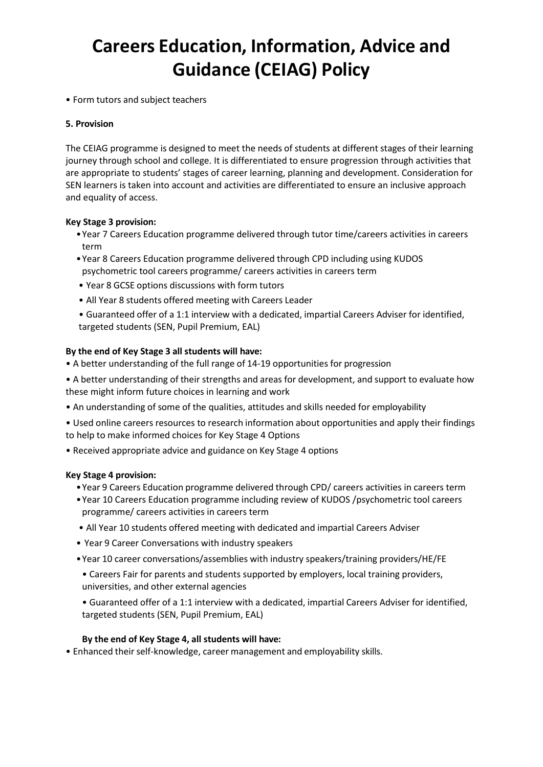• Form tutors and subject teachers

### **5. Provision**

The CEIAG programme is designed to meet the needs of students at different stages of their learning journey through school and college. It is differentiated to ensure progression through activities that are appropriate to students' stages of career learning, planning and development. Consideration for SEN learners is taken into account and activities are differentiated to ensure an inclusive approach and equality of access.

### **Key Stage 3 provision:**

- •Year 7 Careers Education programme delivered through tutor time/careers activities in careers term
- •Year 8 Careers Education programme delivered through CPD including using KUDOS psychometric tool careers programme/ careers activities in careers term
- Year 8 GCSE options discussions with form tutors
- All Year 8 students offered meeting with Careers Leader
- Guaranteed offer of a 1:1 interview with a dedicated, impartial Careers Adviser for identified, targeted students (SEN, Pupil Premium, EAL)

### **By the end of Key Stage 3 all students will have:**

• A better understanding of the full range of 14-19 opportunities for progression

• A better understanding of their strengths and areas for development, and support to evaluate how these might inform future choices in learning and work

- An understanding of some of the qualities, attitudes and skills needed for employability
- Used online careers resources to research information about opportunities and apply their findings to help to make informed choices for Key Stage 4 Options
- Received appropriate advice and guidance on Key Stage 4 options

#### **Key Stage 4 provision:**

- •Year 9 Careers Education programme delivered through CPD/ careers activities in careers term
- •Year 10 Careers Education programme including review of KUDOS /psychometric tool careers programme/ careers activities in careers term
- All Year 10 students offered meeting with dedicated and impartial Careers Adviser
- Year 9 Career Conversations with industry speakers
- •Year 10 career conversations/assemblies with industry speakers/training providers/HE/FE
- Careers Fair for parents and students supported by employers, local training providers, universities, and other external agencies
- Guaranteed offer of a 1:1 interview with a dedicated, impartial Careers Adviser for identified, targeted students (SEN, Pupil Premium, EAL)

#### **By the end of Key Stage 4, all students will have:**

• Enhanced their self-knowledge, career management and employability skills.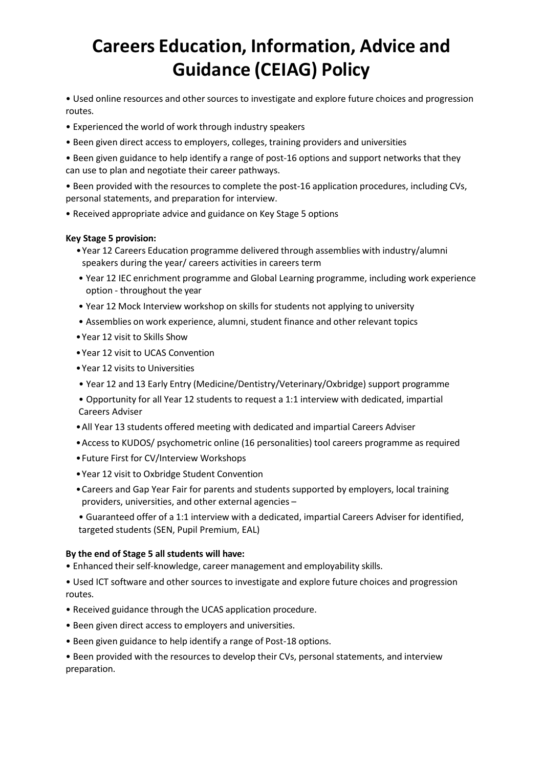• Used online resources and other sources to investigate and explore future choices and progression routes.

- Experienced the world of work through industry speakers
- Been given direct access to employers, colleges, training providers and universities

• Been given guidance to help identify a range of post-16 options and support networks that they can use to plan and negotiate their career pathways.

• Been provided with the resources to complete the post-16 application procedures, including CVs, personal statements, and preparation for interview.

• Received appropriate advice and guidance on Key Stage 5 options

### **Key Stage 5 provision:**

- •Year 12 Careers Education programme delivered through assemblies with industry/alumni speakers during the year/ careers activities in careers term
- Year 12 IEC enrichment programme and Global Learning programme, including work experience option - throughout the year
- Year 12 Mock Interview workshop on skills for students not applying to university
- Assemblies on work experience, alumni, student finance and other relevant topics
- •Year 12 visit to Skills Show
- •Year 12 visit to UCAS Convention
- •Year 12 visits to Universities
- Year 12 and 13 Early Entry (Medicine/Dentistry/Veterinary/Oxbridge) support programme
- Opportunity for all Year 12 students to request a 1:1 interview with dedicated, impartial Careers Adviser
- •All Year 13 students offered meeting with dedicated and impartial Careers Adviser
- •Access to KUDOS/ psychometric online (16 personalities) tool careers programme as required
- •Future First for CV/Interview Workshops
- •Year 12 visit to Oxbridge Student Convention
- •Careers and Gap Year Fair for parents and students supported by employers, local training providers, universities, and other external agencies –
- Guaranteed offer of a 1:1 interview with a dedicated, impartial Careers Adviser for identified, targeted students (SEN, Pupil Premium, EAL)

#### **By the end of Stage 5 all students will have:**

- Enhanced their self-knowledge, career management and employability skills.
- Used ICT software and other sources to investigate and explore future choices and progression routes.
- Received guidance through the UCAS application procedure.
- Been given direct access to employers and universities.
- Been given guidance to help identify a range of Post-18 options.
- Been provided with the resources to develop their CVs, personal statements, and interview preparation.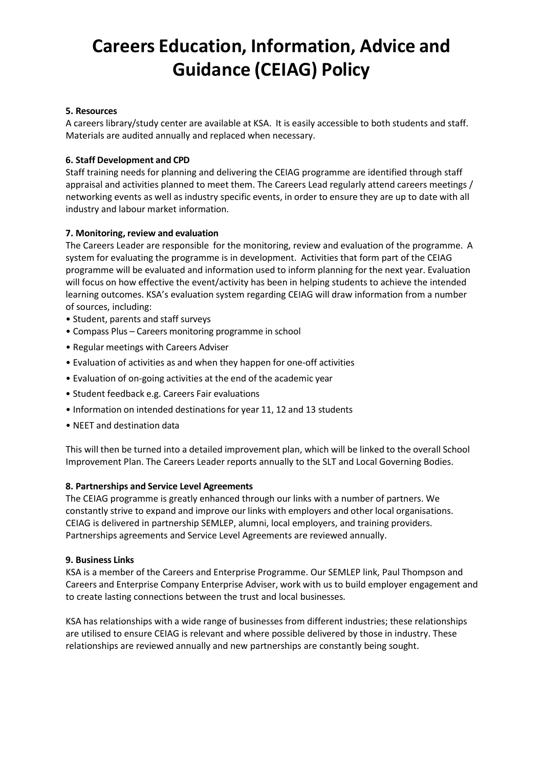### **5. Resources**

A careers library/study center are available at KSA. It is easily accessible to both students and staff. Materials are audited annually and replaced when necessary.

### **6. Staff Development and CPD**

Staff training needs for planning and delivering the CEIAG programme are identified through staff appraisal and activities planned to meet them. The Careers Lead regularly attend careers meetings / networking events as well as industry specific events, in order to ensure they are up to date with all industry and labour market information.

### **7. Monitoring, review and evaluation**

The Careers Leader are responsible for the monitoring, review and evaluation of the programme. A system for evaluating the programme is in development. Activities that form part of the CEIAG programme will be evaluated and information used to inform planning for the next year. Evaluation will focus on how effective the event/activity has been in helping students to achieve the intended learning outcomes. KSA's evaluation system regarding CEIAG will draw information from a number of sources, including:

- Student, parents and staff surveys
- Compass Plus Careers monitoring programme in school
- Regular meetings with Careers Adviser
- Evaluation of activities as and when they happen for one-off activities
- Evaluation of on-going activities at the end of the academic year
- Student feedback e.g. Careers Fair evaluations
- Information on intended destinations for year 11, 12 and 13 students
- NEET and destination data

This will then be turned into a detailed improvement plan, which will be linked to the overall School Improvement Plan. The Careers Leader reports annually to the SLT and Local Governing Bodies.

#### **8. Partnerships and Service Level Agreements**

The CEIAG programme is greatly enhanced through our links with a number of partners. We constantly strive to expand and improve our links with employers and other local organisations. CEIAG is delivered in partnership SEMLEP, alumni, local employers, and training providers. Partnerships agreements and Service Level Agreements are reviewed annually.

#### **9. Business Links**

KSA is a member of the Careers and Enterprise Programme. Our SEMLEP link, Paul Thompson and Careers and Enterprise Company Enterprise Adviser, work with us to build employer engagement and to create lasting connections between the trust and local businesses.

KSA has relationships with a wide range of businesses from different industries; these relationships are utilised to ensure CEIAG is relevant and where possible delivered by those in industry. These relationships are reviewed annually and new partnerships are constantly being sought.